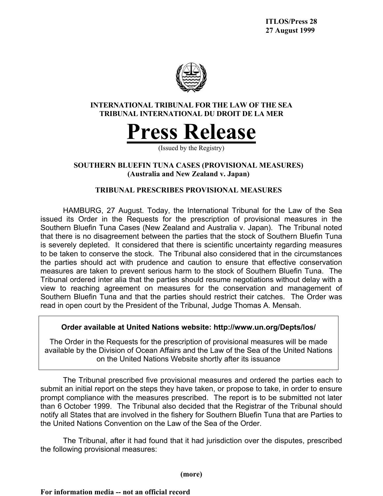

## **INTERNATIONAL TRIBUNAL FOR THE LAW OF THE SEA TRIBUNAL INTERNATIONAL DU DROIT DE LA MER**

# **Press Release**

(Issued by the Registry)

## **SOUTHERN BLUEFIN TUNA CASES (PROVISIONAL MEASURES) (Australia and New Zealand v. Japan)**

# **TRIBUNAL PRESCRIBES PROVISIONAL MEASURES**

HAMBURG, 27 August. Today, the International Tribunal for the Law of the Sea issued its Order in the Requests for the prescription of provisional measures in the Southern Bluefin Tuna Cases (New Zealand and Australia v. Japan). The Tribunal noted that there is no disagreement between the parties that the stock of Southern Bluefin Tuna is severely depleted. It considered that there is scientific uncertainty regarding measures to be taken to conserve the stock. The Tribunal also considered that in the circumstances the parties should act with prudence and caution to ensure that effective conservation measures are taken to prevent serious harm to the stock of Southern Bluefin Tuna. The Tribunal ordered inter alia that the parties should resume negotiations without delay with a view to reaching agreement on measures for the conservation and management of Southern Bluefin Tuna and that the parties should restrict their catches. The Order was read in open court by the President of the Tribunal, Judge Thomas A. Mensah.

## **Order available at United Nations website: http://www.un.org/Depts/los/**

The Order in the Requests for the prescription of provisional measures will be made available by the Division of Ocean Affairs and the Law of the Sea of the United Nations on the United Nations Website shortly after its issuance

The Tribunal prescribed five provisional measures and ordered the parties each to submit an initial report on the steps they have taken, or propose to take, in order to ensure prompt compliance with the measures prescribed. The report is to be submitted not later than 6 October 1999. The Tribunal also decided that the Registrar of the Tribunal should notify all States that are involved in the fishery for Southern Bluefin Tuna that are Parties to the United Nations Convention on the Law of the Sea of the Order.

The Tribunal, after it had found that it had jurisdiction over the disputes, prescribed the following provisional measures:

**(more)**

**For information media -- not an official record**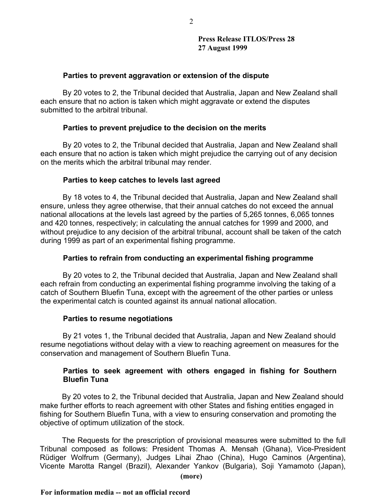#### **Parties to prevent aggravation or extension of the dispute**

By 20 votes to 2, the Tribunal decided that Australia, Japan and New Zealand shall each ensure that no action is taken which might aggravate or extend the disputes submitted to the arbitral tribunal.

### **Parties to prevent prejudice to the decision on the merits**

By 20 votes to 2, the Tribunal decided that Australia, Japan and New Zealand shall each ensure that no action is taken which might prejudice the carrying out of any decision on the merits which the arbitral tribunal may render.

### **Parties to keep catches to levels last agreed**

By 18 votes to 4, the Tribunal decided that Australia, Japan and New Zealand shall ensure, unless they agree otherwise, that their annual catches do not exceed the annual national allocations at the levels last agreed by the parties of 5,265 tonnes, 6,065 tonnes and 420 tonnes, respectively; in calculating the annual catches for 1999 and 2000, and without prejudice to any decision of the arbitral tribunal, account shall be taken of the catch during 1999 as part of an experimental fishing programme.

## **Parties to refrain from conducting an experimental fishing programme**

By 20 votes to 2, the Tribunal decided that Australia, Japan and New Zealand shall each refrain from conducting an experimental fishing programme involving the taking of a catch of Southern Bluefin Tuna, except with the agreement of the other parties or unless the experimental catch is counted against its annual national allocation.

#### **Parties to resume negotiations**

By 21 votes 1, the Tribunal decided that Australia, Japan and New Zealand should resume negotiations without delay with a view to reaching agreement on measures for the conservation and management of Southern Bluefin Tuna.

## **Parties to seek agreement with others engaged in fishing for Southern Bluefin Tuna**

By 20 votes to 2, the Tribunal decided that Australia, Japan and New Zealand should make further efforts to reach agreement with other States and fishing entities engaged in fishing for Southern Bluefin Tuna, with a view to ensuring conservation and promoting the objective of optimum utilization of the stock.

The Requests for the prescription of provisional measures were submitted to the full Tribunal composed as follows: President Thomas A. Mensah (Ghana), Vice-President Rüdiger Wolfrum (Germany), Judges Lihai Zhao (China), Hugo Caminos (Argentina), Vicente Marotta Rangel (Brazil), Alexander Yankov (Bulgaria), Soji Yamamoto (Japan),

**(more)**

#### **For information media -- not an official record**